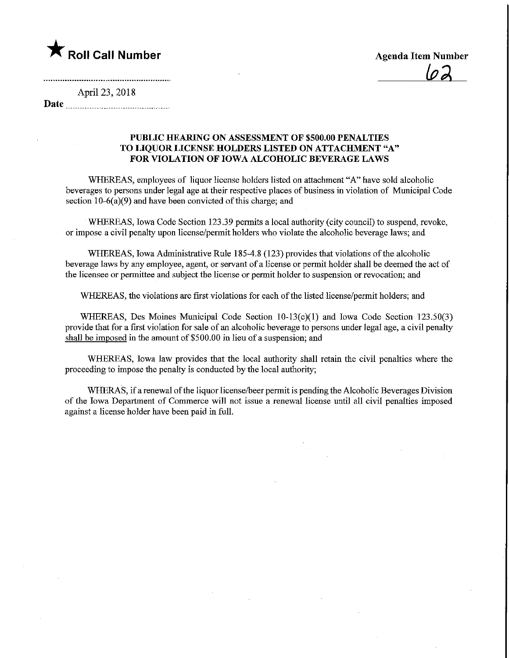

 $\overline{\omega}$ 

## April 23, 2018

Date <u>musically continued and</u>

## PUBLIC HEARING ON ASSESSMENT OF \$500.00 PENALTIES TO LIQUOR LICENSE HOLDERS LISTED ON ATTACHMENT "A" FOR VIOLATION OF IOWA ALCOHOLIC BEVERAGE LAWS

WHEREAS, employees of liquor license holders listed on attachment "A" have sold alcoholic beverages to persons under legal age at their respective places of business in violation of Municipal Code section 10-6(a)(9) and have been convicted of this charge; and

WHEREAS, Iowa Code Section 123.39 permits a local authority (city council) to suspend, revoke, or impose a civil penalty upon license/permit holders who violate the alcoholic beverage laws; and

WHEREAS, Iowa Administrative Rule 185-4.8 (123) provides that violations of the alcoholic beverage laws by any employee, agent, or servant of a license or permit holder shall be deemed the act of the licensee or permittee and subject the license or permit holder to suspension or revocation; and

WHEREAS, the violations are first violations for each of the listed license/pennit holders; and

WHEREAS, Des Moines Municipal Code Section  $10-13(c)(1)$  and Iowa Code Section 123.50(3) provide that for a first violation for sale of an alcoholic beverage to persons under legal age, a civil penalty shall be imposed in the amount of \$500.00 in lieu of a suspension; and

WHEREAS, Iowa law provides that the local authority shall retain the civil penalties where the proceeding to impose the penalty is conducted by the local authority;

WHERAS, if a renewal of the liquor license/beer permit is pending the Alcoholic Beverages Division of fhe Iowa Department of Commerce will not issue a renewal license until all civil penalties imposed against a license holder have been paid in full.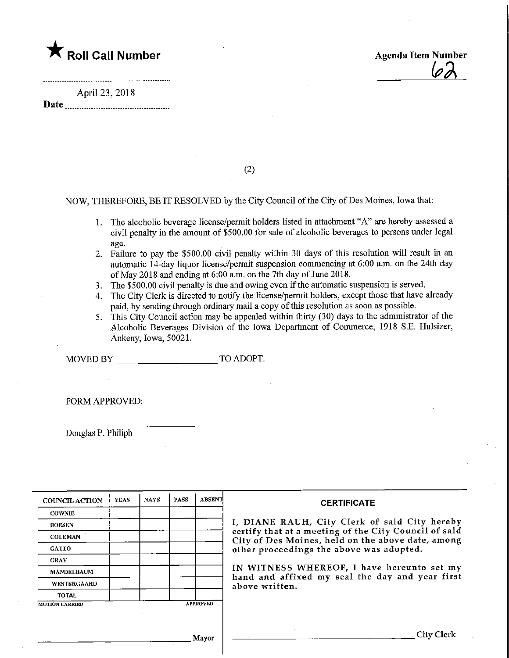## $\bigstar$  Roll Call Number

Agenda Item Number ^

April 23, 2018

Date

(2)

NOW, THEREFORE, BE IT RESOLVED by the City Council of the City of Des Moines, Iowa that:

- 1. The alcoholic beverage license/permit holders listed in attachment "A" are hereby assessed a civil penalty in the amount of \$500.00 for sale of alcoholic beverages to persons under legal age.
- 2. Failure to pay the \$500.00 civil penalty within 30 days of this resolution will result in an automatic  $14$ -day liquor license/permit suspension commencing at 6:00 a.m. on the 24th day of May 2018 and ending at 6:00 a.m. on the 7th day of June 2018.
- 3. The \$500.00 civil penalty is due and owing even if the automatic suspension is served.
- 4. The City Clerk is directed to notify the license/permit holders, except those that have already paid, by sending through ordinary mail a copy of this resolution as soon as possible.
- 5. This City Council action may be appealed within thirty (30) days to the administrator of the Alcoholic Beverages Division of the Iowa Department of Commerce, 1918 S.E. Hulsizer, Ankeny, Iowa, 50021.

MOVED BY TO ADOPT.

FORM APPROVED:

Douglas P. Philiph

| <b>COUNCIL ACTION</b> | <b>YEAS</b> | <b>NAYS</b> | <b>PASS</b> | <b>ABSENT</b>   | <b>CERTIFICATE</b>                                                                                         |
|-----------------------|-------------|-------------|-------------|-----------------|------------------------------------------------------------------------------------------------------------|
| <b>COWNIE</b>         |             |             |             |                 |                                                                                                            |
| <b>BOESEN</b>         |             |             |             |                 | I, DIANE RAUH, City Clerk of said City hereby                                                              |
| <b>COLEMAN</b>        |             |             |             |                 | certify that at a meeting of the City Council of said<br>City of Des Moines, held on the above date, among |
| <b>GATTO</b>          |             |             |             |                 | other proceedings the above was adopted.                                                                   |
| <b>GRAY</b>           |             |             |             |                 |                                                                                                            |
| <b>MANDELBAUM</b>     |             |             |             |                 | IN WITNESS WHEREOF, I have hereunto set my<br>hand and affixed my seal the day and year first              |
| WESTERGAARD           |             |             |             |                 | above written.                                                                                             |
| <b>TOTAL</b>          |             |             |             |                 |                                                                                                            |
| <b>MOTION CARRIED</b> |             |             |             | <b>APPROVED</b> |                                                                                                            |
|                       |             |             |             |                 |                                                                                                            |
|                       |             |             |             | Mayor           | City Clerk                                                                                                 |